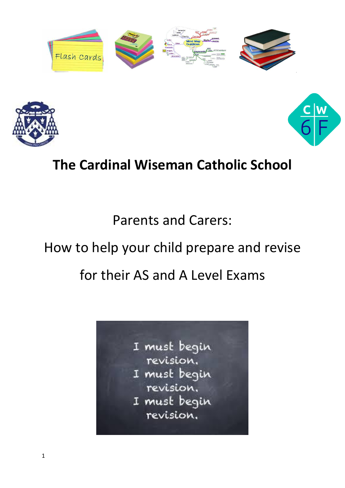





# **The Cardinal Wiseman Catholic School**

Parents and Carers:

# How to help your child prepare and revise

# for their AS and A Level Exams

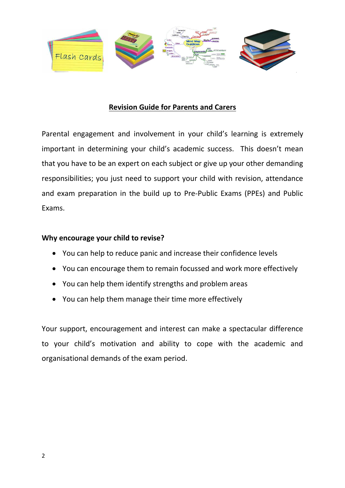

# **Revision Guide for Parents and Carers**

Parental engagement and involvement in your child's learning is extremely important in determining your child's academic success. This doesn't mean that you have to be an expert on each subject or give up your other demanding responsibilities; you just need to support your child with revision, attendance and exam preparation in the build up to Pre-Public Exams (PPEs) and Public Exams.

#### **Why encourage your child to revise?**

- You can help to reduce panic and increase their confidence levels
- You can encourage them to remain focussed and work more effectively
- You can help them identify strengths and problem areas
- You can help them manage their time more effectively

Your support, encouragement and interest can make a spectacular difference to your child's motivation and ability to cope with the academic and organisational demands of the exam period.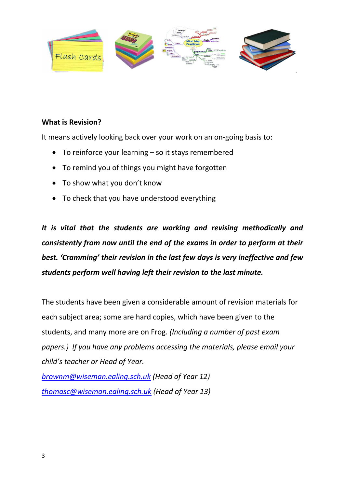

# **What is Revision?**

It means actively looking back over your work on an on-going basis to:

- To reinforce your learning so it stays remembered
- To remind you of things you might have forgotten
- To show what you don't know
- To check that you have understood everything

*It is vital that the students are working and revising methodically and consistently from now until the end of the exams in order to perform at their best. 'Cramming' their revision in the last few days is very ineffective and few students perform well having left their revision to the last minute.*

The students have been given a considerable amount of revision materials for each subject area; some are hard copies, which have been given to the students, and many more are on Frog*. (Including a number of past exam papers.) If you have any problems accessing the materials, please email your child's teacher or Head of Year.*

*[brownm@wiseman.ealing.sch.uk](mailto:brownm@wiseman.ealing.sch.uk) (Head of Year 12) [thomasc@wiseman.ealing.sch.uk](mailto:thomasc@wiseman.ealing.sch.uk) (Head of Year 13)*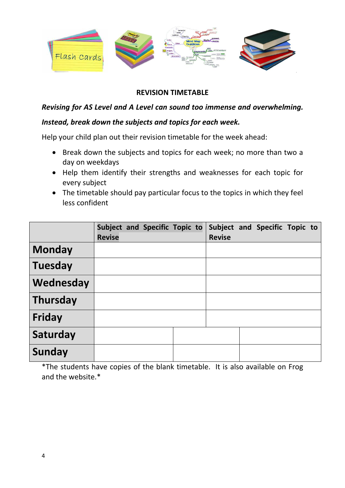

# **REVISION TIMETABLE**

# *Revising for AS Level and A Level can sound too immense and overwhelming.*

#### *Instead, break down the subjects and topics for each week.*

Help your child plan out their revision timetable for the week ahead:

- Break down the subjects and topics for each week; no more than two a day on weekdays
- Help them identify their strengths and weaknesses for each topic for every subject
- The timetable should pay particular focus to the topics in which they feel less confident

|                 | <b>Revise</b> |  | Subject and Specific Topic to | <b>Revise</b> | Subject and Specific Topic to |  |
|-----------------|---------------|--|-------------------------------|---------------|-------------------------------|--|
| <b>Monday</b>   |               |  |                               |               |                               |  |
| <b>Tuesday</b>  |               |  |                               |               |                               |  |
| Wednesday       |               |  |                               |               |                               |  |
| <b>Thursday</b> |               |  |                               |               |                               |  |
| Friday          |               |  |                               |               |                               |  |
| Saturday        |               |  |                               |               |                               |  |
| Sunday          |               |  |                               |               |                               |  |

\*The students have copies of the blank timetable. It is also available on Frog and the website.\*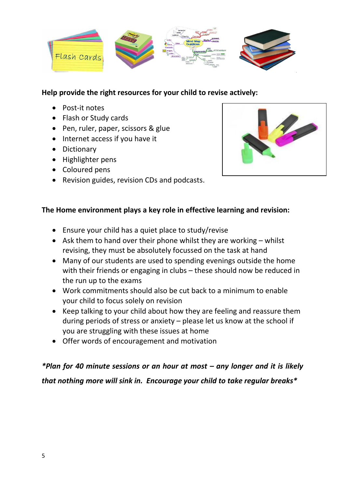

# **Help provide the right resources for your child to revise actively:**

- Post-it notes
- Flash or Study cards
- Pen, ruler, paper, scissors & glue
- Internet access if you have it
- Dictionary
- Highlighter pens
- Coloured pens
- Revision guides, revision CDs and podcasts.



# **The Home environment plays a key role in effective learning and revision:**

- Ensure your child has a quiet place to study/revise
- Ask them to hand over their phone whilst they are working  $-$  whilst revising, they must be absolutely focussed on the task at hand
- Many of our students are used to spending evenings outside the home with their friends or engaging in clubs – these should now be reduced in the run up to the exams
- Work commitments should also be cut back to a minimum to enable your child to focus solely on revision
- Keep talking to your child about how they are feeling and reassure them during periods of stress or anxiety – please let us know at the school if you are struggling with these issues at home
- Offer words of encouragement and motivation

# *\*Plan for 40 minute sessions or an hour at most – any longer and it is likely that nothing more will sink in. Encourage your child to take regular breaks\**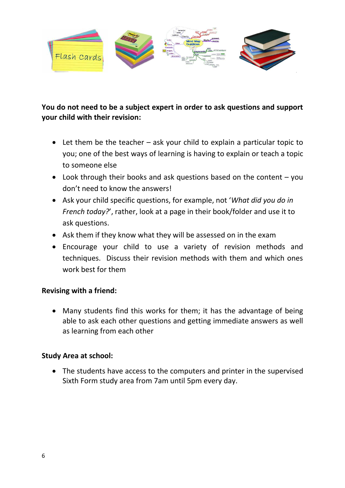

# **You do not need to be a subject expert in order to ask questions and support your child with their revision:**

- Let them be the teacher ask your child to explain a particular topic to you; one of the best ways of learning is having to explain or teach a topic to someone else
- Look through their books and ask questions based on the content you don't need to know the answers!
- Ask your child specific questions, for example, not '*What did you do in French today?*', rather, look at a page in their book/folder and use it to ask questions.
- Ask them if they know what they will be assessed on in the exam
- Encourage your child to use a variety of revision methods and techniques. Discuss their revision methods with them and which ones work best for them

# **Revising with a friend:**

 Many students find this works for them; it has the advantage of being able to ask each other questions and getting immediate answers as well as learning from each other

### **Study Area at school:**

• The students have access to the computers and printer in the supervised Sixth Form study area from 7am until 5pm every day.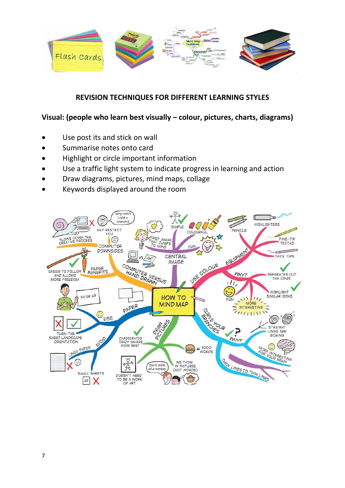

# **REVISION TECHNIQUES FOR DIFFERENT LEARNING STYLES**

# **Visual: (people who learn best visually – colour, pictures, charts, diagrams)**

- Use post its and stick on wall
- Summarise notes onto card
- Highlight or circle important information
- Use a traffic light system to indicate progress in learning and action
- Draw diagrams, pictures, mind maps, collage
- Keywords displayed around the room

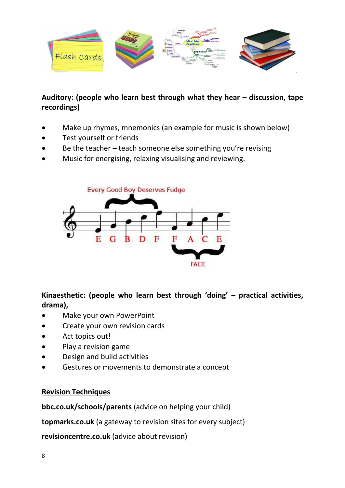![](_page_7_Picture_0.jpeg)

# Auditory: (people who learn best through what they hear  $-$  discussion, tape **recordings)**

- Make up rhymes, mnemonics (an example for music is shown below)
- Test yourself or friends
- Be the teacher teach someone else something you're revising
- Music for energising, relaxing visualising and reviewing.

![](_page_7_Figure_6.jpeg)

**Kinaesthetic: (people who learn best through 'doing' – practical activities, drama),**

- Make your own PowerPoint
- Create your own revision cards
- Act topics out!
- Play a revision game
- Design and build activities
- Gestures or movements to demonstrate a concept

#### **Revision Techniques**

**bbc.co.uk/schools/parents** (advice on helping your child)

**topmarks.co.uk** (a gateway to revision sites for every subject)

**revisioncentre.co.uk** (advice about revision)